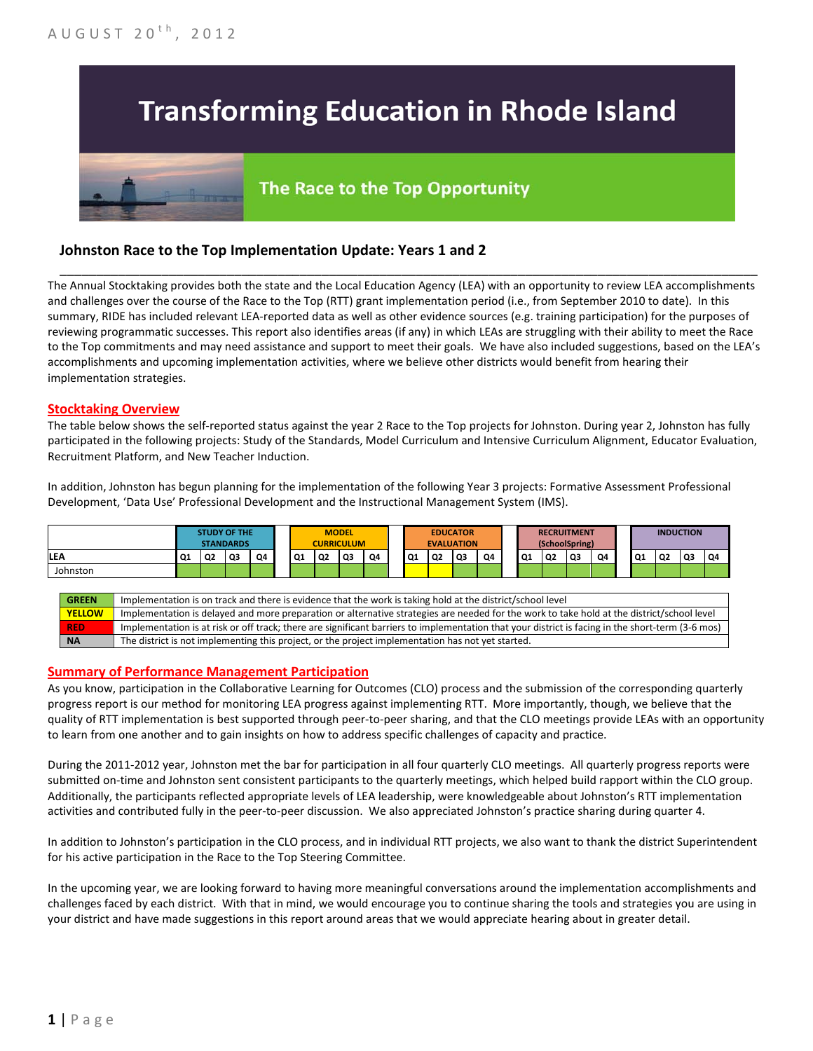# **Transforming Education in Rhode Island**

## The Race to the Top Opportunity

### **Johnston Race to the Top Implementation Update: Years 1 and 2**

The Annual Stocktaking provides both the state and the Local Education Agency (LEA) with an opportunity to review LEA accomplishments and challenges over the course of the Race to the Top (RTT) grant implementation period (i.e., from September 2010 to date). In this summary, RIDE has included relevant LEA-reported data as well as other evidence sources (e.g. training participation) for the purposes of reviewing programmatic successes. This report also identifies areas (if any) in which LEAs are struggling with their ability to meet the Race to the Top commitments and may need assistance and support to meet their goals. We have also included suggestions, based on the LEA's accomplishments and upcoming implementation activities, where we believe other districts would benefit from hearing their implementation strategies.

\_\_\_\_\_\_\_\_\_\_\_\_\_\_\_\_\_\_\_\_\_\_\_\_\_\_\_\_\_\_\_\_\_\_\_\_\_\_\_\_\_\_\_\_\_\_\_\_\_\_\_\_\_\_\_\_\_\_\_\_\_\_\_\_\_\_\_\_\_\_\_\_\_\_\_\_\_\_\_\_\_\_\_\_\_\_\_\_\_\_\_\_\_\_\_\_

#### **Stocktaking Overview**

The table below shows the self-reported status against the year 2 Race to the Top projects for Johnston. During year 2, Johnston has fully participated in the following projects: Study of the Standards, Model Curriculum and Intensive Curriculum Alignment, Educator Evaluation, Recruitment Platform, and New Teacher Induction.

In addition, Johnston has begun planning for the implementation of the following Year 3 projects: Formative Assessment Professional Development, 'Data Use' Professional Development and the Instructional Management System (IMS).



#### **Summary of Performance Management Participation**

As you know, participation in the Collaborative Learning for Outcomes (CLO) process and the submission of the corresponding quarterly progress report is our method for monitoring LEA progress against implementing RTT. More importantly, though, we believe that the quality of RTT implementation is best supported through peer-to-peer sharing, and that the CLO meetings provide LEAs with an opportunity to learn from one another and to gain insights on how to address specific challenges of capacity and practice.

During the 2011-2012 year, Johnston met the bar for participation in all four quarterly CLO meetings. All quarterly progress reports were submitted on-time and Johnston sent consistent participants to the quarterly meetings, which helped build rapport within the CLO group. Additionally, the participants reflected appropriate levels of LEA leadership, were knowledgeable about Johnston's RTT implementation activities and contributed fully in the peer-to-peer discussion. We also appreciated Johnston's practice sharing during quarter 4.

In addition to Johnston's participation in the CLO process, and in individual RTT projects, we also want to thank the district Superintendent for his active participation in the Race to the Top Steering Committee.

In the upcoming year, we are looking forward to having more meaningful conversations around the implementation accomplishments and challenges faced by each district. With that in mind, we would encourage you to continue sharing the tools and strategies you are using in your district and have made suggestions in this report around areas that we would appreciate hearing about in greater detail.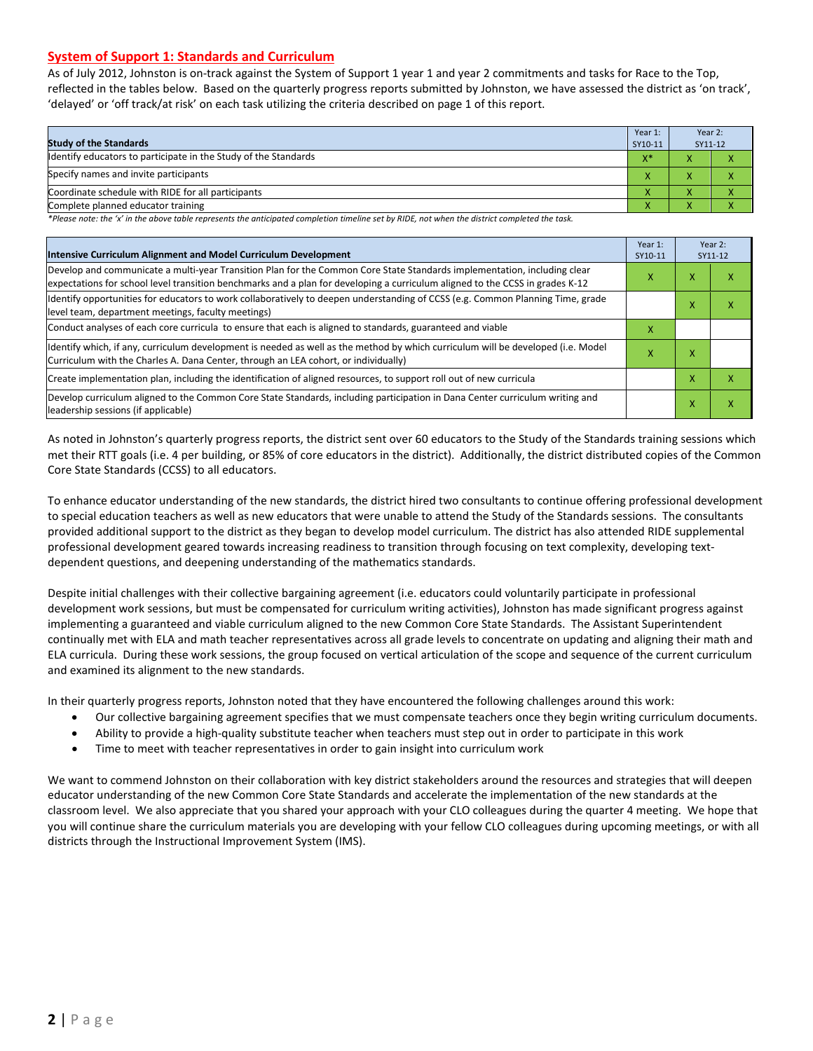#### **System of Support 1: Standards and Curriculum**

As of July 2012, Johnston is on-track against the System of Support 1 year 1 and year 2 commitments and tasks for Race to the Top, reflected in the tables below. Based on the quarterly progress reports submitted by Johnston, we have assessed the district as 'on track', 'delayed' or 'off track/at risk' on each task utilizing the criteria described on page 1 of this report.

| <b>Study of the Standards</b>                                   | Year 1:<br>SY10-11 | Year 2:<br>SY11-12 |  |
|-----------------------------------------------------------------|--------------------|--------------------|--|
| Identify educators to participate in the Study of the Standards | $X^*$              |                    |  |
| Specify names and invite participants                           | $\mathbf{v}$       |                    |  |
| Coordinate schedule with RIDE for all participants              | $\mathbf{\Lambda}$ | ∧                  |  |
| Complete planned educator training                              | $\mathbf{\Lambda}$ | ∧                  |  |

*\*Please note: the 'x' in the above table represents the anticipated completion timeline set by RIDE, not when the district completed the task.*

| Intensive Curriculum Alignment and Model Curriculum Development                                                                                                                                                                                           |   |   | Year 2:<br>SY11-12 |
|-----------------------------------------------------------------------------------------------------------------------------------------------------------------------------------------------------------------------------------------------------------|---|---|--------------------|
| Develop and communicate a multi-year Transition Plan for the Common Core State Standards implementation, including clear<br>expectations for school level transition benchmarks and a plan for developing a curriculum aligned to the CCSS in grades K-12 |   |   | χ                  |
| Identify opportunities for educators to work collaboratively to deepen understanding of CCSS (e.g. Common Planning Time, grade<br>level team, department meetings, faculty meetings)                                                                      |   | ⋏ | χ                  |
| Conduct analyses of each core curricula to ensure that each is aligned to standards, guaranteed and viable                                                                                                                                                | X |   |                    |
| Identify which, if any, curriculum development is needed as well as the method by which curriculum will be developed (i.e. Model<br>Curriculum with the Charles A. Dana Center, through an LEA cohort, or individually)                                   | x | x |                    |
| Create implementation plan, including the identification of aligned resources, to support roll out of new curricula                                                                                                                                       |   | x | χ                  |
| Develop curriculum aligned to the Common Core State Standards, including participation in Dana Center curriculum writing and<br>leadership sessions (if applicable)                                                                                       |   | x | χ                  |

As noted in Johnston's quarterly progress reports, the district sent over 60 educators to the Study of the Standards training sessions which met their RTT goals (i.e. 4 per building, or 85% of core educators in the district). Additionally, the district distributed copies of the Common Core State Standards (CCSS) to all educators.

To enhance educator understanding of the new standards, the district hired two consultants to continue offering professional development to special education teachers as well as new educators that were unable to attend the Study of the Standards sessions. The consultants provided additional support to the district as they began to develop model curriculum. The district has also attended RIDE supplemental professional development geared towards increasing readiness to transition through focusing on text complexity, developing textdependent questions, and deepening understanding of the mathematics standards.

Despite initial challenges with their collective bargaining agreement (i.e. educators could voluntarily participate in professional development work sessions, but must be compensated for curriculum writing activities), Johnston has made significant progress against implementing a guaranteed and viable curriculum aligned to the new Common Core State Standards. The Assistant Superintendent continually met with ELA and math teacher representatives across all grade levels to concentrate on updating and aligning their math and ELA curricula. During these work sessions, the group focused on vertical articulation of the scope and sequence of the current curriculum and examined its alignment to the new standards.

In their quarterly progress reports, Johnston noted that they have encountered the following challenges around this work:

- Our collective bargaining agreement specifies that we must compensate teachers once they begin writing curriculum documents.
- Ability to provide a high-quality substitute teacher when teachers must step out in order to participate in this work
- Time to meet with teacher representatives in order to gain insight into curriculum work

We want to commend Johnston on their collaboration with key district stakeholders around the resources and strategies that will deepen educator understanding of the new Common Core State Standards and accelerate the implementation of the new standards at the classroom level. We also appreciate that you shared your approach with your CLO colleagues during the quarter 4 meeting. We hope that you will continue share the curriculum materials you are developing with your fellow CLO colleagues during upcoming meetings, or with all districts through the Instructional Improvement System (IMS).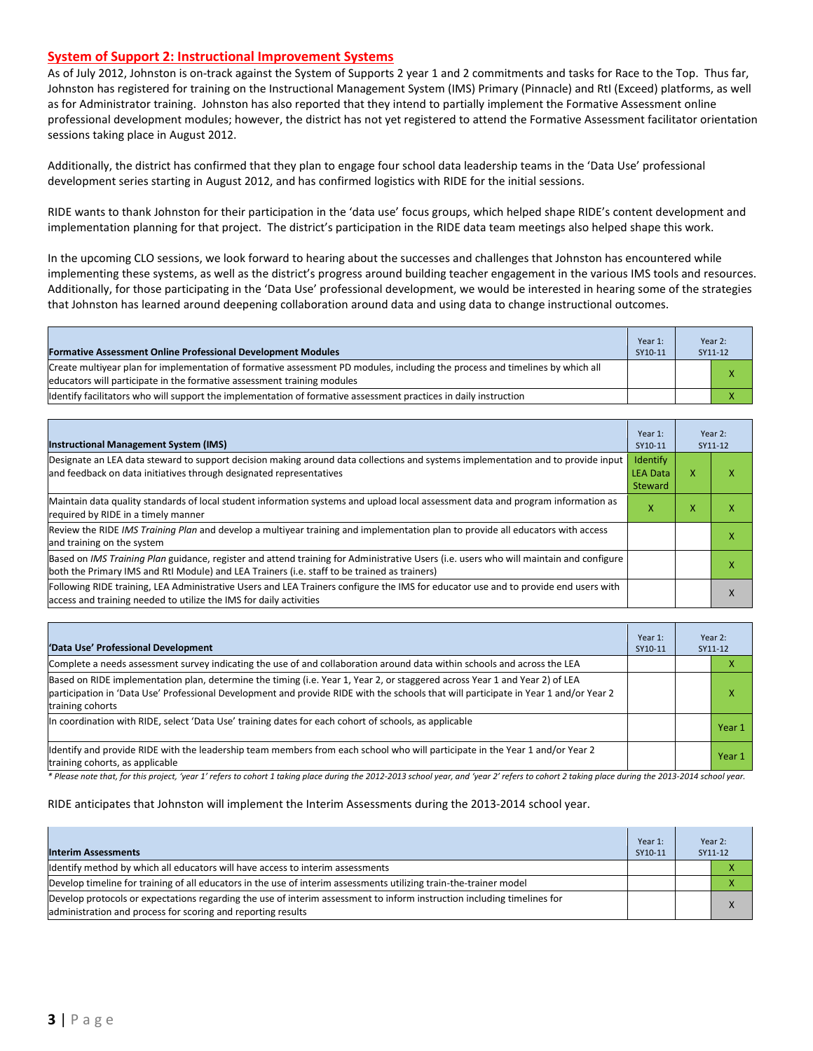#### **System of Support 2: Instructional Improvement Systems**

As of July 2012, Johnston is on-track against the System of Supports 2 year 1 and 2 commitments and tasks for Race to the Top. Thus far, Johnston has registered for training on the Instructional Management System (IMS) Primary (Pinnacle) and RtI (Exceed) platforms, as well as for Administrator training. Johnston has also reported that they intend to partially implement the Formative Assessment online professional development modules; however, the district has not yet registered to attend the Formative Assessment facilitator orientation sessions taking place in August 2012.

Additionally, the district has confirmed that they plan to engage four school data leadership teams in the 'Data Use' professional development series starting in August 2012, and has confirmed logistics with RIDE for the initial sessions.

RIDE wants to thank Johnston for their participation in the 'data use' focus groups, which helped shape RIDE's content development and implementation planning for that project. The district's participation in the RIDE data team meetings also helped shape this work.

In the upcoming CLO sessions, we look forward to hearing about the successes and challenges that Johnston has encountered while implementing these systems, as well as the district's progress around building teacher engagement in the various IMS tools and resources. Additionally, for those participating in the 'Data Use' professional development, we would be interested in hearing some of the strategies that Johnston has learned around deepening collaboration around data and using data to change instructional outcomes.

| <b>Formative Assessment Online Professional Development Modules</b>                                                                                                                                      | Year 1:<br>SY10-11 | Year 2:<br>SY11-12 |
|----------------------------------------------------------------------------------------------------------------------------------------------------------------------------------------------------------|--------------------|--------------------|
| Create multiyear plan for implementation of formative assessment PD modules, including the process and timelines by which all<br>educators will participate in the formative assessment training modules |                    |                    |
| ldentify facilitators who will support the implementation of formative assessment practices in daily instruction                                                                                         |                    |                    |

| <b>Instructional Management System (IMS)</b>                                                                                                                                                                                           | Year 1:<br>SY10-11                            |   | Year 2:<br>SY11-12 |
|----------------------------------------------------------------------------------------------------------------------------------------------------------------------------------------------------------------------------------------|-----------------------------------------------|---|--------------------|
| Designate an LEA data steward to support decision making around data collections and systems implementation and to provide input<br>and feedback on data initiatives through designated representatives                                | Identify<br><b>LEA Data</b><br><b>Steward</b> | X | х                  |
| Maintain data quality standards of local student information systems and upload local assessment data and program information as<br>required by RIDE in a timely manner                                                                |                                               |   |                    |
| Review the RIDE IMS Training Plan and develop a multiyear training and implementation plan to provide all educators with access<br>and training on the system                                                                          |                                               |   | x                  |
| Based on IMS Training Plan guidance, register and attend training for Administrative Users (i.e. users who will maintain and configure<br>both the Primary IMS and RtI Module) and LEA Trainers (i.e. staff to be trained as trainers) |                                               |   |                    |
| Following RIDE training, LEA Administrative Users and LEA Trainers configure the IMS for educator use and to provide end users with<br>access and training needed to utilize the IMS for daily activities                              |                                               |   | $\lambda$          |

| 'Data Use' Professional Development                                                                                                                                                                                                                                                     | Year 1:<br>SY10-11 |  | Year 2:<br>SY11-12 |
|-----------------------------------------------------------------------------------------------------------------------------------------------------------------------------------------------------------------------------------------------------------------------------------------|--------------------|--|--------------------|
| Complete a needs assessment survey indicating the use of and collaboration around data within schools and across the LEA                                                                                                                                                                |                    |  |                    |
| Based on RIDE implementation plan, determine the timing (i.e. Year 1, Year 2, or staggered across Year 1 and Year 2) of LEA<br>participation in 'Data Use' Professional Development and provide RIDE with the schools that will participate in Year 1 and/or Year 2<br>training cohorts |                    |  | χ                  |
| In coordination with RIDE, select 'Data Use' training dates for each cohort of schools, as applicable                                                                                                                                                                                   |                    |  | Year 1             |
| Identify and provide RIDE with the leadership team members from each school who will participate in the Year 1 and/or Year 2<br>training cohorts, as applicable                                                                                                                         |                    |  | Year 1             |

*\* Please note that, for this project, 'year 1' refers to cohort 1 taking place during the 2012-2013 school year, and 'year 2' refers to cohort 2 taking place during the 2013-2014 school year.*

#### RIDE anticipates that Johnston will implement the Interim Assessments during the 2013-2014 school year.

| <b>Interim Assessments</b>                                                                                                                                                              | Year 1:<br>SY10-11 | Year 2:<br>SY11-12 |
|-----------------------------------------------------------------------------------------------------------------------------------------------------------------------------------------|--------------------|--------------------|
| Identify method by which all educators will have access to interim assessments                                                                                                          |                    |                    |
| Develop timeline for training of all educators in the use of interim assessments utilizing train-the-trainer model                                                                      |                    |                    |
| Develop protocols or expectations regarding the use of interim assessment to inform instruction including timelines for<br>administration and process for scoring and reporting results |                    |                    |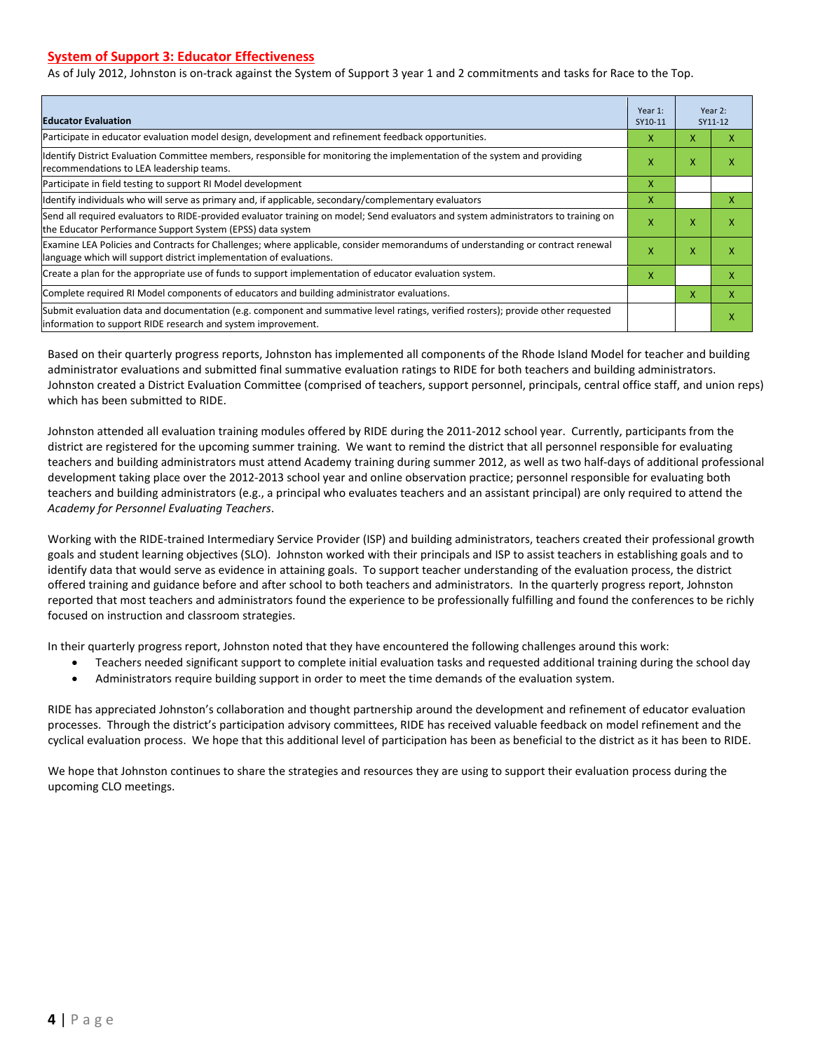#### **System of Support 3: Educator Effectiveness**

As of July 2012, Johnston is on-track against the System of Support 3 year 1 and 2 commitments and tasks for Race to the Top.

| <b>Educator Evaluation</b>                                                                                                                                                                            |   |   | Year 2:<br>SY11-12 |
|-------------------------------------------------------------------------------------------------------------------------------------------------------------------------------------------------------|---|---|--------------------|
| Participate in educator evaluation model design, development and refinement feedback opportunities.                                                                                                   | x | X | x                  |
| Identify District Evaluation Committee members, responsible for monitoring the implementation of the system and providing<br>recommendations to LEA leadership teams.                                 | x | X | X                  |
| Participate in field testing to support RI Model development                                                                                                                                          | X |   |                    |
| Identify individuals who will serve as primary and, if applicable, secondary/complementary evaluators                                                                                                 | X |   | x                  |
| Send all required evaluators to RIDE-provided evaluator training on model; Send evaluators and system administrators to training on<br>the Educator Performance Support System (EPSS) data system     | X | X | X                  |
| Examine LEA Policies and Contracts for Challenges; where applicable, consider memorandums of understanding or contract renewal<br>language which will support district implementation of evaluations. |   | X | X                  |
| Create a plan for the appropriate use of funds to support implementation of educator evaluation system.                                                                                               |   |   | X                  |
| Complete required RI Model components of educators and building administrator evaluations.                                                                                                            |   |   | x                  |
| Submit evaluation data and documentation (e.g. component and summative level ratings, verified rosters); provide other requested<br>linformation to support RIDE research and system improvement.     |   |   | X                  |

Based on their quarterly progress reports, Johnston has implemented all components of the Rhode Island Model for teacher and building administrator evaluations and submitted final summative evaluation ratings to RIDE for both teachers and building administrators. Johnston created a District Evaluation Committee (comprised of teachers, support personnel, principals, central office staff, and union reps) which has been submitted to RIDE.

Johnston attended all evaluation training modules offered by RIDE during the 2011-2012 school year. Currently, participants from the district are registered for the upcoming summer training. We want to remind the district that all personnel responsible for evaluating teachers and building administrators must attend Academy training during summer 2012, as well as two half-days of additional professional development taking place over the 2012-2013 school year and online observation practice; personnel responsible for evaluating both teachers and building administrators (e.g., a principal who evaluates teachers and an assistant principal) are only required to attend the *Academy for Personnel Evaluating Teachers*.

Working with the RIDE-trained Intermediary Service Provider (ISP) and building administrators, teachers created their professional growth goals and student learning objectives (SLO). Johnston worked with their principals and ISP to assist teachers in establishing goals and to identify data that would serve as evidence in attaining goals. To support teacher understanding of the evaluation process, the district offered training and guidance before and after school to both teachers and administrators. In the quarterly progress report, Johnston reported that most teachers and administrators found the experience to be professionally fulfilling and found the conferences to be richly focused on instruction and classroom strategies.

In their quarterly progress report, Johnston noted that they have encountered the following challenges around this work:

- Teachers needed significant support to complete initial evaluation tasks and requested additional training during the school day
- Administrators require building support in order to meet the time demands of the evaluation system.

RIDE has appreciated Johnston's collaboration and thought partnership around the development and refinement of educator evaluation processes. Through the district's participation advisory committees, RIDE has received valuable feedback on model refinement and the cyclical evaluation process. We hope that this additional level of participation has been as beneficial to the district as it has been to RIDE.

We hope that Johnston continues to share the strategies and resources they are using to support their evaluation process during the upcoming CLO meetings.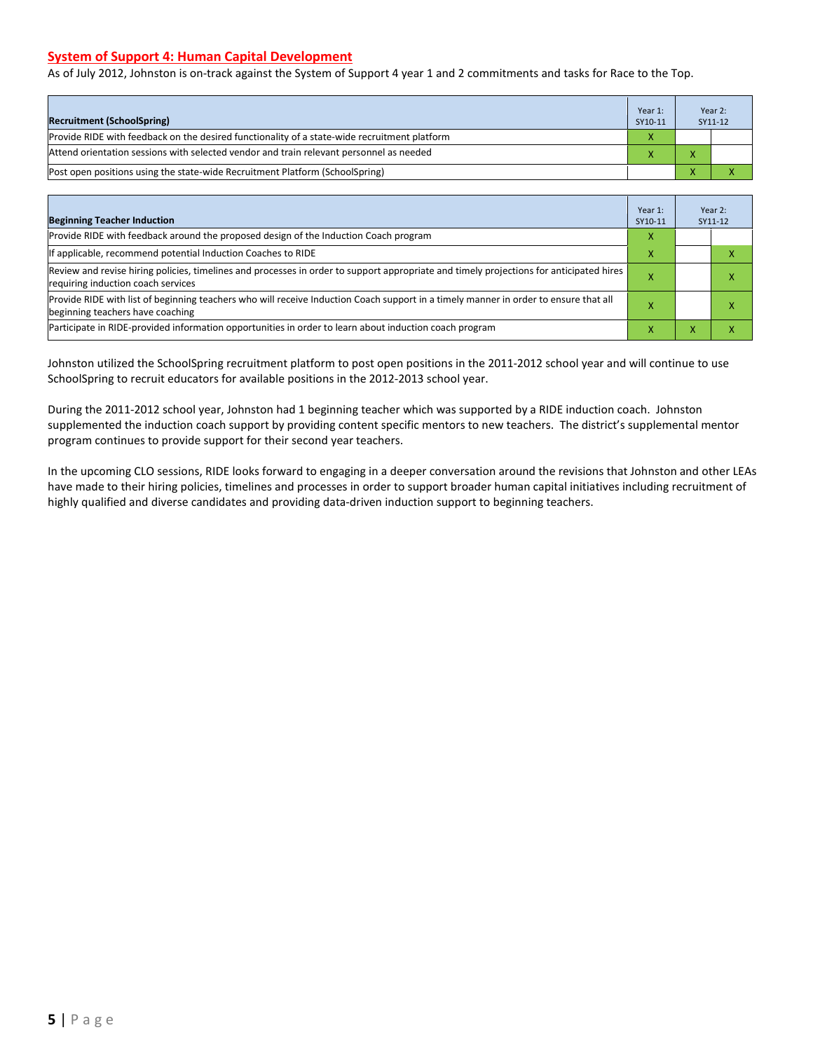#### **System of Support 4: Human Capital Development**

As of July 2012, Johnston is on-track against the System of Support 4 year 1 and 2 commitments and tasks for Race to the Top.

| <b>Recruitment (SchoolSpring)</b>                                                            | Year 1:<br>SY10-11 |              | Year 2:<br>SY11-12 |
|----------------------------------------------------------------------------------------------|--------------------|--------------|--------------------|
| Provide RIDE with feedback on the desired functionality of a state-wide recruitment platform |                    |              |                    |
| Attend orientation sessions with selected vendor and train relevant personnel as needed      |                    | $\mathbf{v}$ |                    |
| Post open positions using the state-wide Recruitment Platform (SchoolSpring)                 |                    |              |                    |

| <b>Beginning Teacher Induction</b>                                                                                                                                            | Year 1:<br>SY10-11 |  | Year 2:<br>SY11-12 |
|-------------------------------------------------------------------------------------------------------------------------------------------------------------------------------|--------------------|--|--------------------|
| Provide RIDE with feedback around the proposed design of the Induction Coach program                                                                                          |                    |  |                    |
| If applicable, recommend potential Induction Coaches to RIDE                                                                                                                  |                    |  |                    |
| Review and revise hiring policies, timelines and processes in order to support appropriate and timely projections for anticipated hires<br>requiring induction coach services |                    |  |                    |
| Provide RIDE with list of beginning teachers who will receive Induction Coach support in a timely manner in order to ensure that all<br>beginning teachers have coaching      |                    |  |                    |
| Participate in RIDE-provided information opportunities in order to learn about induction coach program                                                                        |                    |  |                    |

Johnston utilized the SchoolSpring recruitment platform to post open positions in the 2011-2012 school year and will continue to use SchoolSpring to recruit educators for available positions in the 2012-2013 school year.

During the 2011-2012 school year, Johnston had 1 beginning teacher which was supported by a RIDE induction coach. Johnston supplemented the induction coach support by providing content specific mentors to new teachers. The district's supplemental mentor program continues to provide support for their second year teachers.

In the upcoming CLO sessions, RIDE looks forward to engaging in a deeper conversation around the revisions that Johnston and other LEAs have made to their hiring policies, timelines and processes in order to support broader human capital initiatives including recruitment of highly qualified and diverse candidates and providing data-driven induction support to beginning teachers.